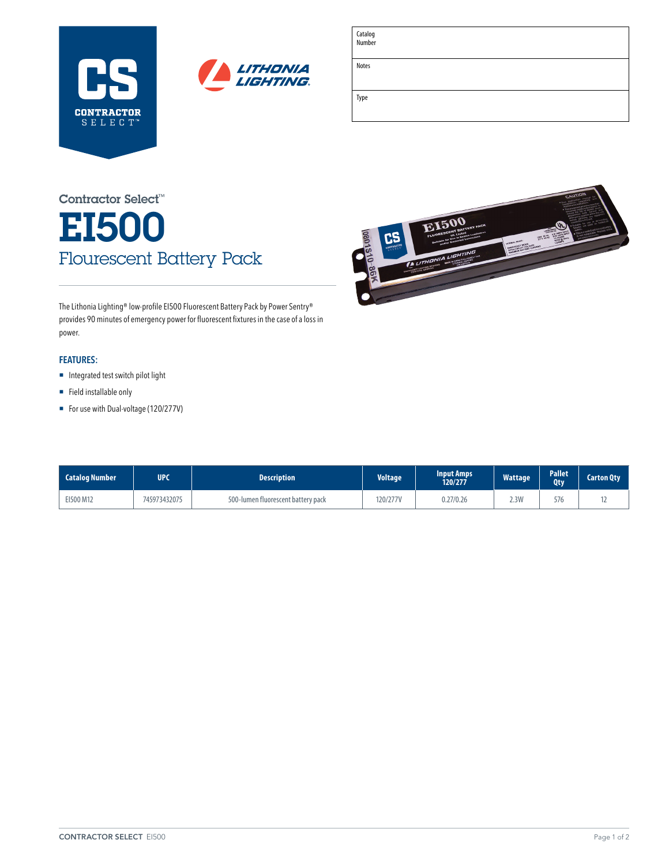



| Catalog<br>Number |  |
|-------------------|--|
| Notes             |  |
| Type              |  |
|                   |  |

MAXIMUM BATTERY

E1500

# EI500 Flourescent Battery Pack Contractor Select™

The Lithonia Lighting® low-profile EI500 Fluorescent Battery Pack by Power Sentry® provides 90 minutes of emergency power for fluorescent fixtures in the case of a loss in power.

### **FEATURES:**

- **E** Integrated test switch pilot light
- $\blacksquare$  Field installable only
- For use with Dual-voltage (120/277V)

| <b>Catalog Number</b> | <b>UPC</b>   | <b>Description</b>                 | <b>Voltage</b> | <b>Input Amps</b><br>120/277 | <b>Wattage</b> | <b>Pallet</b><br><b>Qty</b> | <b>Carton Qty</b> |
|-----------------------|--------------|------------------------------------|----------------|------------------------------|----------------|-----------------------------|-------------------|
| EI500 M12             | 745973432075 | 500-lumen fluorescent battery pack | 120/277V       | 0.27/0.26                    | 2.3W           | 576                         |                   |